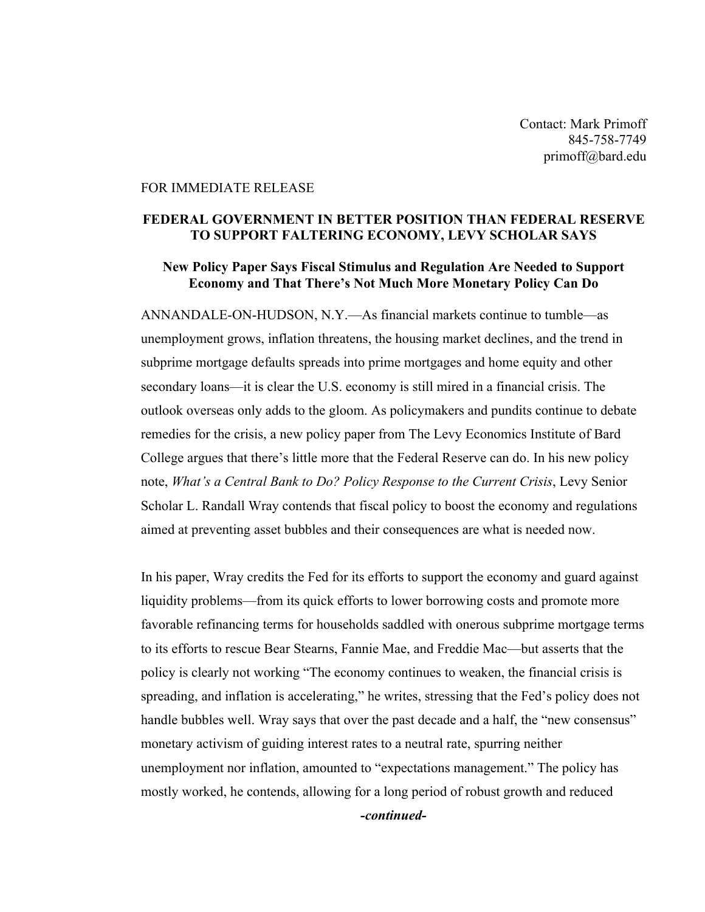Contact: Mark Primoff 845-758-7749 primoff@bard.edu

## FOR IMMEDIATE RELEASE

## **FEDERAL GOVERNMENT IN BETTER POSITION THAN FEDERAL RESERVE TO SUPPORT FALTERING ECONOMY, LEVY SCHOLAR SAYS**

## **New Policy Paper Says Fiscal Stimulus and Regulation Are Needed to Support Economy and That There's Not Much More Monetary Policy Can Do**

ANNANDALE-ON-HUDSON, N.Y.—As financial markets continue to tumble—as unemployment grows, inflation threatens, the housing market declines, and the trend in subprime mortgage defaults spreads into prime mortgages and home equity and other secondary loans—it is clear the U.S. economy is still mired in a financial crisis. The outlook overseas only adds to the gloom. As policymakers and pundits continue to debate remedies for the crisis, a new policy paper from The Levy Economics Institute of Bard College argues that there's little more that the Federal Reserve can do. In his new policy note, *What's a Central Bank to Do? Policy Response to the Current Crisis*, Levy Senior Scholar L. Randall Wray contends that fiscal policy to boost the economy and regulations aimed at preventing asset bubbles and their consequences are what is needed now.

In his paper, Wray credits the Fed for its efforts to support the economy and guard against liquidity problems—from its quick efforts to lower borrowing costs and promote more favorable refinancing terms for households saddled with onerous subprime mortgage terms to its efforts to rescue Bear Stearns, Fannie Mae, and Freddie Mac—but asserts that the policy is clearly not working "The economy continues to weaken, the financial crisis is spreading, and inflation is accelerating," he writes, stressing that the Fed's policy does not handle bubbles well. Wray says that over the past decade and a half, the "new consensus" monetary activism of guiding interest rates to a neutral rate, spurring neither unemployment nor inflation, amounted to "expectations management." The policy has mostly worked, he contends, allowing for a long period of robust growth and reduced *-continued-*